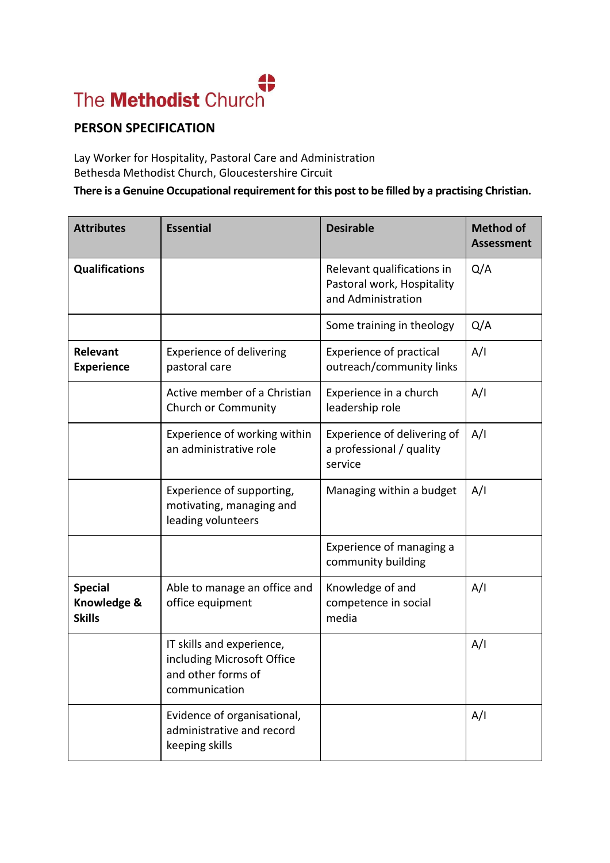## **PERSON SPECIFICATION**

Lay Worker for Hospitality, Pastoral Care and Administration Bethesda Methodist Church, Gloucestershire Circuit

## **There is a Genuine Occupational requirement for this post to be filled by a practising Christian.**

| <b>Attributes</b>                              | <b>Essential</b>                                                                               | <b>Desirable</b>                                                               | <b>Method of</b><br><b>Assessment</b> |
|------------------------------------------------|------------------------------------------------------------------------------------------------|--------------------------------------------------------------------------------|---------------------------------------|
| <b>Qualifications</b>                          |                                                                                                | Relevant qualifications in<br>Pastoral work, Hospitality<br>and Administration | Q/A                                   |
|                                                |                                                                                                | Some training in theology                                                      | Q/A                                   |
| Relevant<br><b>Experience</b>                  | <b>Experience of delivering</b><br>pastoral care                                               | <b>Experience of practical</b><br>outreach/community links                     | A/I                                   |
|                                                | Active member of a Christian<br>Church or Community                                            | Experience in a church<br>leadership role                                      | A/I                                   |
|                                                | Experience of working within<br>an administrative role                                         | Experience of delivering of<br>a professional / quality<br>service             | A/I                                   |
|                                                | Experience of supporting,<br>motivating, managing and<br>leading volunteers                    | Managing within a budget                                                       | A/I                                   |
|                                                |                                                                                                | Experience of managing a<br>community building                                 |                                       |
| <b>Special</b><br>Knowledge &<br><b>Skills</b> | Able to manage an office and<br>office equipment                                               | Knowledge of and<br>competence in social<br>media                              | A/I                                   |
|                                                | IT skills and experience,<br>including Microsoft Office<br>and other forms of<br>communication |                                                                                | A/I                                   |
|                                                | Evidence of organisational,<br>administrative and record<br>keeping skills                     |                                                                                | A/I                                   |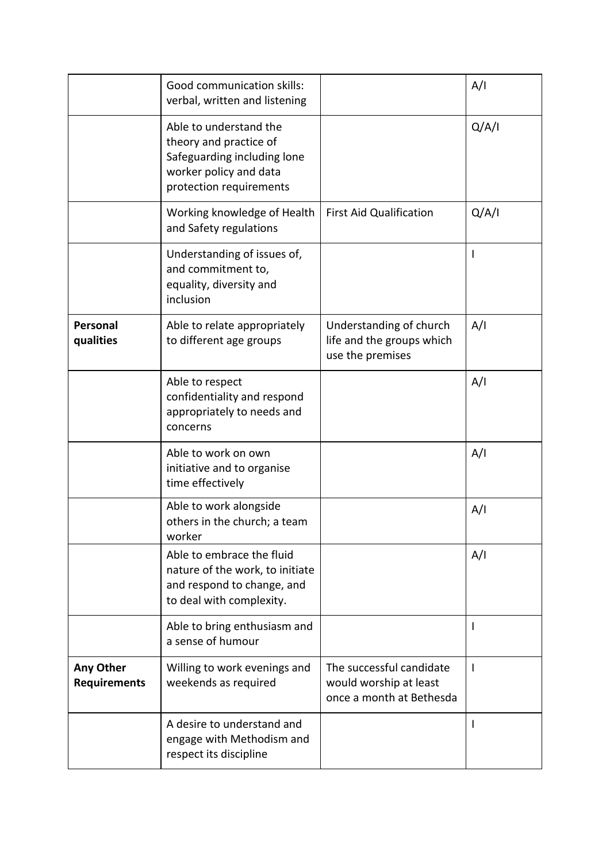|                                  | Good communication skills:<br>verbal, written and listening                                                                          |                                                                                | A/I   |
|----------------------------------|--------------------------------------------------------------------------------------------------------------------------------------|--------------------------------------------------------------------------------|-------|
|                                  | Able to understand the<br>theory and practice of<br>Safeguarding including lone<br>worker policy and data<br>protection requirements |                                                                                | Q/A/I |
|                                  | Working knowledge of Health<br>and Safety regulations                                                                                | <b>First Aid Qualification</b>                                                 | Q/A/I |
|                                  | Understanding of issues of,<br>and commitment to,<br>equality, diversity and<br>inclusion                                            |                                                                                |       |
| <b>Personal</b><br>qualities     | Able to relate appropriately<br>to different age groups                                                                              | Understanding of church<br>life and the groups which<br>use the premises       | A/I   |
|                                  | Able to respect<br>confidentiality and respond<br>appropriately to needs and<br>concerns                                             |                                                                                | A/I   |
|                                  | Able to work on own<br>initiative and to organise<br>time effectively                                                                |                                                                                | A/I   |
|                                  | Able to work alongside<br>others in the church; a team<br>worker                                                                     |                                                                                | A/I   |
|                                  | Able to embrace the fluid<br>nature of the work, to initiate<br>and respond to change, and<br>to deal with complexity.               |                                                                                | A/I   |
|                                  | Able to bring enthusiasm and<br>a sense of humour                                                                                    |                                                                                | L     |
| Any Other<br><b>Requirements</b> | Willing to work evenings and<br>weekends as required                                                                                 | The successful candidate<br>would worship at least<br>once a month at Bethesda | L     |
|                                  | A desire to understand and<br>engage with Methodism and<br>respect its discipline                                                    |                                                                                |       |